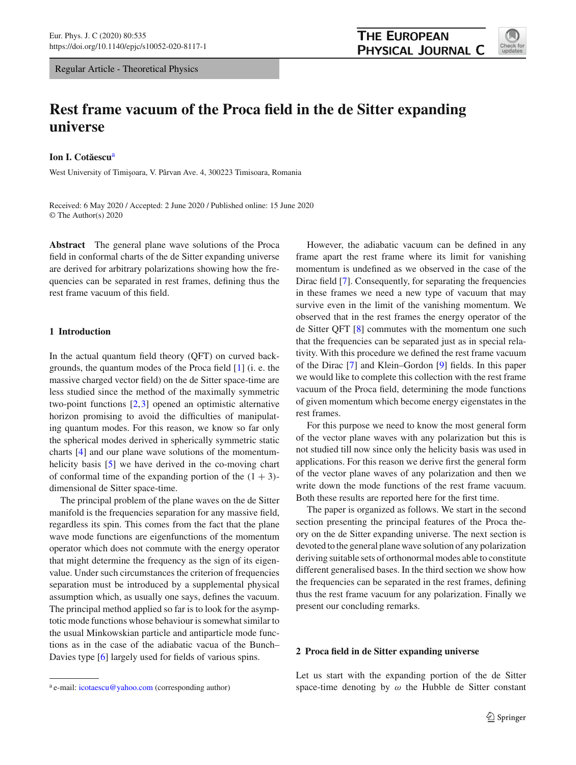Regular Article - Theoretical Physics

# **Rest frame vacuum of the Proca field in the de Sitter expanding universe**

**Ion I. Cotăescu**<sup>a</sup>

West University of Timişoara, V. Pârvan Ave. 4, 300223 Timisoara, Romania

Received: 6 May 2020 / Accepted: 2 June 2020 / Published online: 15 June 2020 © The Author(s) 2020

**Abstract** The general plane wave solutions of the Proca field in conformal charts of the de Sitter expanding universe are derived for arbitrary polarizations showing how the frequencies can be separated in rest frames, defining thus the rest frame vacuum of this field.

# **1 Introduction**

In the actual quantum field theory (QFT) on curved backgrounds, the quantum modes of the Proca field [\[1\]](#page-6-0) (i. e. the massive charged vector field) on the de Sitter space-time are less studied since the method of the maximally symmetric two-point functions [\[2,](#page-6-1)[3\]](#page-6-2) opened an optimistic alternative horizon promising to avoid the difficulties of manipulating quantum modes. For this reason, we know so far only the spherical modes derived in spherically symmetric static charts [\[4](#page-6-3)] and our plane wave solutions of the momentum-helicity basis [\[5\]](#page-6-4) we have derived in the co-moving chart of conformal time of the expanding portion of the  $(1 + 3)$ dimensional de Sitter space-time.

The principal problem of the plane waves on the de Sitter manifold is the frequencies separation for any massive field, regardless its spin. This comes from the fact that the plane wave mode functions are eigenfunctions of the momentum operator which does not commute with the energy operator that might determine the frequency as the sign of its eigenvalue. Under such circumstances the criterion of frequencies separation must be introduced by a supplemental physical assumption which, as usually one says, defines the vacuum. The principal method applied so far is to look for the asymptotic mode functions whose behaviour is somewhat similar to the usual Minkowskian particle and antiparticle mode functions as in the case of the adiabatic vacua of the Bunch– Davies type [\[6\]](#page-6-5) largely used for fields of various spins.

However, the adiabatic vacuum can be defined in any frame apart the rest frame where its limit for vanishing momentum is undefined as we observed in the case of the Dirac field [\[7](#page-6-6)]. Consequently, for separating the frequencies in these frames we need a new type of vacuum that may survive even in the limit of the vanishing momentum. We observed that in the rest frames the energy operator of the de Sitter QFT [\[8\]](#page-6-7) commutes with the momentum one such that the frequencies can be separated just as in special relativity. With this procedure we defined the rest frame vacuum of the Dirac [\[7](#page-6-6)] and Klein–Gordon [\[9](#page-6-8)] fields. In this paper we would like to complete this collection with the rest frame vacuum of the Proca field, determining the mode functions of given momentum which become energy eigenstates in the rest frames.

For this purpose we need to know the most general form of the vector plane waves with any polarization but this is not studied till now since only the helicity basis was used in applications. For this reason we derive first the general form of the vector plane waves of any polarization and then we write down the mode functions of the rest frame vacuum. Both these results are reported here for the first time.

The paper is organized as follows. We start in the second section presenting the principal features of the Proca theory on the de Sitter expanding universe. The next section is devoted to the general plane wave solution of any polarization deriving suitable sets of orthonormal modes able to constitute different generalised bases. In the third section we show how the frequencies can be separated in the rest frames, defining thus the rest frame vacuum for any polarization. Finally we present our concluding remarks.

### **2 Proca field in de Sitter expanding universe**

Let us start with the expanding portion of the de Sitter space-time denoting by  $\omega$  the Hubble de Sitter constant



<sup>a</sup> e-mail: [icotaescu@yahoo.com](mailto:icotaescu@yahoo.com) (corresponding author)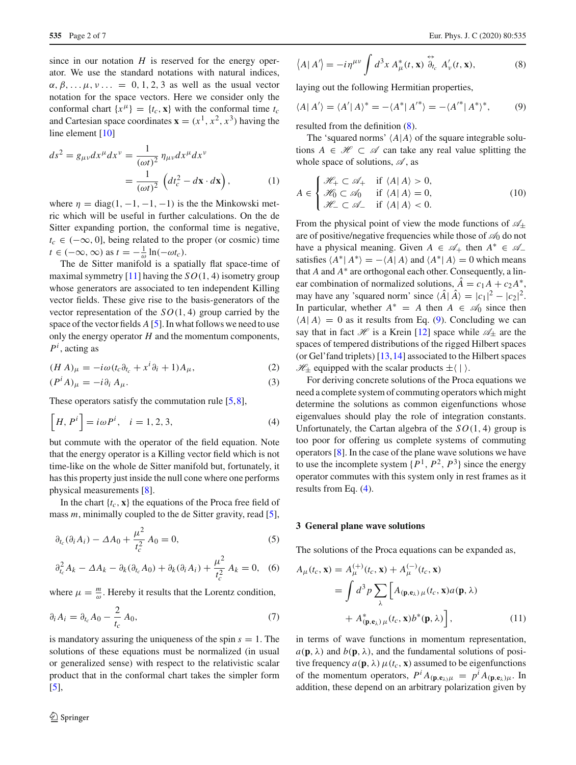since in our notation  $H$  is reserved for the energy operator. We use the standard notations with natural indices,  $\alpha, \beta, \ldots, \mu, \nu, \ldots = 0, 1, 2, 3$  as well as the usual vector notation for the space vectors. Here we consider only the conformal chart  $\{x^{\mu}\}=\{t_c, \mathbf{x}\}\$  with the conformal time  $t_c$ and Cartesian space coordinates  $\mathbf{x} = (x^1, x^2, x^3)$  having the line element [\[10\]](#page-6-9)

$$
ds^{2} = g_{\mu\nu}dx^{\mu}dx^{\nu} = \frac{1}{(\omega t)^{2}} \eta_{\mu\nu}dx^{\mu}dx^{\nu}
$$

$$
= \frac{1}{(\omega t)^{2}} \left( dt_{c}^{2} - d\mathbf{x} \cdot d\mathbf{x} \right), \qquad (1)
$$

where  $\eta = \text{diag}(1, -1, -1, -1)$  is the the Minkowski metric which will be useful in further calculations. On the de Sitter expanding portion, the conformal time is negative,  $t_c \in (-\infty, 0]$ , being related to the proper (or cosmic) time  $t \in (-\infty, \infty)$  as  $t = -\frac{1}{\omega} \ln(-\omega t_c)$ .

The de Sitter manifold is a spatially flat space-time of maximal symmetry  $[11]$  having the  $SO(1, 4)$  isometry group whose generators are associated to ten independent Killing vector fields. These give rise to the basis-generators of the vector representation of the *SO*(1, 4) group carried by the space of the vector fields *A* [\[5](#page-6-4)]. In what follows we need to use only the energy operator *H* and the momentum components, *Pi* , acting as

<span id="page-1-5"></span>
$$
(H A)_{\mu} = -i\omega (t_c \partial_{t_c} + x^i \partial_i + 1) A_{\mu}, \qquad (2)
$$

$$
(P^i A)_{\mu} = -i \partial_i A_{\mu}.
$$
\n(3)

These operators satisfy the commutation rule  $[5,8]$  $[5,8]$  $[5,8]$ ,

<span id="page-1-2"></span>
$$
\[H, P^i\] = i\omega P^i, \quad i = 1, 2, 3,\tag{4}
$$

but commute with the operator of the field equation. Note that the energy operator is a Killing vector field which is not time-like on the whole de Sitter manifold but, fortunately, it has this property just inside the null cone where one performs physical measurements [\[8](#page-6-7)].

In the chart  $\{t_c, \mathbf{x}\}\$  the equations of the Proca free field of mass *m*, minimally coupled to the de Sitter gravity, read [\[5](#page-6-4)],

<span id="page-1-3"></span>
$$
\partial_{t_c}(\partial_i A_i) - \Delta A_0 + \frac{\mu^2}{t_c^2} A_0 = 0,\tag{5}
$$

$$
\partial_{t_c}^2 A_k - \Delta A_k - \partial_k(\partial_{t_c} A_0) + \partial_k(\partial_i A_i) + \frac{\mu^2}{t_c^2} A_k = 0, \quad (6)
$$

where  $\mu = \frac{m}{\omega}$ . Hereby it results that the Lorentz condition,

<span id="page-1-4"></span>
$$
\partial_i A_i = \partial_{t_c} A_0 - \frac{2}{t_c} A_0,\tag{7}
$$

is mandatory assuring the uniqueness of the spin  $s = 1$ . The solutions of these equations must be normalized (in usual or generalized sense) with respect to the relativistic scalar product that in the conformal chart takes the simpler form [\[5](#page-6-4)],

<span id="page-1-0"></span>
$$
\langle A|A'\rangle = -i\eta^{\mu\nu} \int d^3x A^*_{\mu}(t, \mathbf{x}) \stackrel{\leftrightarrow}{\partial_{t_c}} A'_{\nu}(t, \mathbf{x}), \tag{8}
$$

laying out the following Hermitian properties,

<span id="page-1-1"></span>
$$
\langle A | A' \rangle = \langle A' | A \rangle^* = -\langle A^* | A'^* \rangle = -\langle A'^* | A^* \rangle^*,\tag{9}
$$

resulted from the definition [\(8\)](#page-1-0).

The 'squared norms'  $\langle A|A \rangle$  of the square integrable solutions  $A \in \mathcal{H} \subset \mathcal{A}$  can take any real value splitting the whole space of solutions,  $\mathscr A$ , as

$$
A \in \begin{cases} \mathcal{H}_+ \subset \mathcal{A}_+ & \text{if } \langle A | A \rangle > 0, \\ \mathcal{H}_0 \subset \mathcal{A}_0 & \text{if } \langle A | A \rangle = 0, \\ \mathcal{H}_- \subset \mathcal{A}_- & \text{if } \langle A | A \rangle < 0. \end{cases}
$$
(10)

From the physical point of view the mode functions of  $\mathscr{A}_+$ are of positive/negative frequencies while those of *A*<sup>0</sup> do not have a physical meaning. Given  $A \in \mathcal{A}_+$  then  $A^* \in \mathcal{A}_$ satisfies  $\langle A^* | A^* \rangle = -\langle A | A \rangle$  and  $\langle A^* | A \rangle = 0$  which means that *A* and *A*∗ are orthogonal each other. Consequently, a linear combination of normalized solutions,  $\hat{A} = c_1 A + c_2 A^*$ , may have any 'squared norm' since  $\langle \hat{A} | \hat{A} \rangle = |c_1|^2 - |c_2|^2$ . In particular, whether  $A^* = A$  then  $A \in \mathcal{A}_0$  since then  $\langle A | A \rangle = 0$  as it results from Eq. [\(9\)](#page-1-1). Concluding we can say that in fact  $\mathcal{H}$  is a Krein [\[12](#page-6-11)] space while  $\mathcal{A}_{\pm}$  are the spaces of tempered distributions of the rigged Hilbert spaces (or Gel'fand triplets) [\[13](#page-6-12)[,14](#page-6-13)] associated to the Hilbert spaces  $\mathcal{H}_{\pm}$  equipped with the scalar products  $\pm$   $\langle \cdot | \cdot \rangle$ .

For deriving concrete solutions of the Proca equations we need a complete system of commuting operators which might determine the solutions as common eigenfunctions whose eigenvalues should play the role of integration constants. Unfortunately, the Cartan algebra of the *SO*(1, 4) group is too poor for offering us complete systems of commuting operators [\[8](#page-6-7)]. In the case of the plane wave solutions we have to use the incomplete system  $\{P^1, P^2, P^3\}$  since the energy operator commutes with this system only in rest frames as it results from Eq. [\(4\)](#page-1-2).

## **3 General plane wave solutions**

The solutions of the Proca equations can be expanded as,

$$
A_{\mu}(t_c, \mathbf{x}) = A_{\mu}^{(+)}(t_c, \mathbf{x}) + A_{\mu}^{(-)}(t_c, \mathbf{x})
$$
  
= 
$$
\int d^3 p \sum_{\lambda} \left[ A_{(\mathbf{p}, \mathbf{e}_{\lambda}) \mu}(t_c, \mathbf{x}) a(\mathbf{p}, \lambda) + A_{(\mathbf{p}, \mathbf{e}_{\lambda}) \mu}^*(t_c, \mathbf{x}) b^*(\mathbf{p}, \lambda) \right],
$$
 (11)

in terms of wave functions in momentum representation,  $a(\mathbf{p}, \lambda)$  and  $b(\mathbf{p}, \lambda)$ , and the fundamental solutions of positive frequency  $a(\mathbf{p}, \lambda) \mu(t_c, \mathbf{x})$  assumed to be eigenfunctions of the momentum operators,  $P^i A_{(p,e_\lambda)\mu} = p^i A_{(p,e_\lambda)\mu}$ . In addition, these depend on an arbitrary polarization given by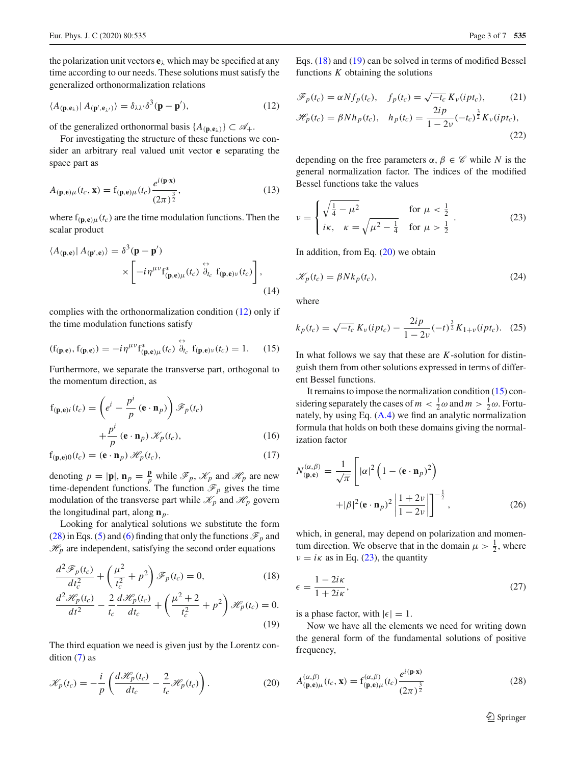the polarization unit vectors  $\mathbf{e}_{\lambda}$  which may be specified at any time according to our needs. These solutions must satisfy the generalized orthonormalization relations

<span id="page-2-0"></span>
$$
\langle A(\mathbf{p}, \mathbf{e}_{\lambda}) | A(\mathbf{p}', \mathbf{e}_{\lambda'}) \rangle = \delta_{\lambda \lambda'} \delta^3(\mathbf{p} - \mathbf{p}'), \tag{12}
$$

of the generalized orthonormal basis  $\{A_{(\mathbf{p},\mathbf{e}_\lambda)}\}\subset\mathscr{A}_+$ .

For investigating the structure of these functions we consider an arbitrary real valued unit vector **e** separating the space part as

$$
A_{(\mathbf{p},\mathbf{e})\mu}(t_c,\mathbf{x}) = f_{(\mathbf{p},\mathbf{e})\mu}(t_c) \frac{e^{i(\mathbf{p}\cdot\mathbf{x})}}{(2\pi)^{\frac{3}{2}}},\tag{13}
$$

where  $f_{(\mathbf{p},\mathbf{e})\mu}(t_c)$  are the time modulation functions. Then the scalar product

$$
\langle A_{(\mathbf{p}, \mathbf{e})} | A_{(\mathbf{p}', \mathbf{e})} \rangle = \delta^3(\mathbf{p} - \mathbf{p}') \times \left[ -i \eta^{\mu \nu} f^*_{(\mathbf{p}, \mathbf{e})\mu}(t_c) \stackrel{\leftrightarrow}{\partial}_{t_c} f_{(\mathbf{p}, \mathbf{e})\nu}(t_c) \right],
$$
\n(14)

complies with the orthonormalization condition [\(12\)](#page-2-0) only if the time modulation functions satisfy

<span id="page-2-4"></span>
$$
(\mathbf{f}_{(\mathbf{p},\mathbf{e})},\mathbf{f}_{(\mathbf{p},\mathbf{e})})=-i\eta^{\mu\nu}\mathbf{f}_{(\mathbf{p},\mathbf{e})\mu}^*(t_c)\stackrel{\leftrightarrow}{\partial}_{t_c}\mathbf{f}_{(\mathbf{p},\mathbf{e})\nu}(t_c)=1.
$$
 (15)

Furthermore, we separate the transverse part, orthogonal to the momentum direction, as

<span id="page-2-7"></span>
$$
f_{(\mathbf{p},\mathbf{e})i}(t_c) = \left(e^i - \frac{p^i}{p}(\mathbf{e} \cdot \mathbf{n}_p)\right) \mathcal{F}_p(t_c)
$$

$$
+ \frac{p^i}{p}(\mathbf{e} \cdot \mathbf{n}_p) \mathcal{K}_p(t_c), \tag{16}
$$

$$
f_{(\mathbf{p},\mathbf{e})0}(t_c) = (\mathbf{e} \cdot \mathbf{n}_p) \mathcal{H}_p(t_c), \qquad (17)
$$

denoting  $p = |\mathbf{p}|, \mathbf{n}_p = \frac{\mathbf{p}}{p}$  while  $\mathcal{F}_p$ ,  $\mathcal{K}_p$  and  $\mathcal{H}_p$  are new time-dependent functions. The function  $\mathscr{F}_p$  gives the time modulation of the transverse part while  $\mathcal{K}_p$  and  $\mathcal{H}_p$  govern the longitudinal part, along **n***p*.

Looking for analytical solutions we substitute the form [\(28\)](#page-2-1) in Eqs. [\(5\)](#page-1-3) and [\(6\)](#page-1-3) finding that only the functions  $\mathcal{F}_p$  and  $\mathcal{H}_p$  are independent, satisfying the second order equations

<span id="page-2-2"></span>
$$
\frac{d^2 \mathcal{F}_p(t_c)}{dt_c^2} + \left(\frac{\mu^2}{t_c^2} + p^2\right) \mathcal{F}_p(t_c) = 0,
$$
\n(18)

$$
\frac{d^2\mathcal{H}_p(t_c)}{dt^2} - \frac{2}{t_c}\frac{d\mathcal{H}_p(t_c)}{dt_c} + \left(\frac{\mu^2 + 2}{t_c^2} + p^2\right)\mathcal{H}_p(t_c) = 0.
$$
\n(19)

The third equation we need is given just by the Lorentz condition [\(7\)](#page-1-4) as

<span id="page-2-3"></span>
$$
\mathcal{K}_p(t_c) = -\frac{i}{p} \left( \frac{d \mathcal{H}_p(t_c)}{dt_c} - \frac{2}{t_c} \mathcal{H}_p(t_c) \right). \tag{20}
$$

Eqs. [\(18\)](#page-2-2) and [\(19\)](#page-2-2) can be solved in terms of modified Bessel functions  $K$  obtaining the solutions

<span id="page-2-8"></span>
$$
\mathcal{F}_p(t_c) = \alpha N f_p(t_c), \quad f_p(t_c) = \sqrt{-t_c} K_v(ipt_c), \tag{21}
$$

$$
\mathcal{H}_p(t_c) = \beta N h_p(t_c), \quad h_p(t_c) = \frac{2ip}{1 - 2v} (-t_c)^{\frac{3}{2}} K_v(ipt_c), \tag{22}
$$

depending on the free parameters  $\alpha, \beta \in \mathscr{C}$  while *N* is the general normalization factor. The indices of the modified Bessel functions take the values

<span id="page-2-5"></span>
$$
\nu = \begin{cases} \sqrt{\frac{1}{4} - \mu^2} & \text{for } \mu < \frac{1}{2} \\ i\kappa, \quad \kappa = \sqrt{\mu^2 - \frac{1}{4}} & \text{for } \mu > \frac{1}{2} \end{cases} .
$$
 (23)

In addition, from Eq.  $(20)$  we obtain

$$
\mathcal{K}_p(t_c) = \beta N k_p(t_c),\tag{24}
$$

where

$$
k_p(t_c) = \sqrt{-t_c} \, K_v(ipt_c) - \frac{2ip}{1 - 2v} (-t)^{\frac{3}{2}} K_{1+v}(ipt_c). \tag{25}
$$

In what follows we say that these are *K*-solution for distinguish them from other solutions expressed in terms of different Bessel functions.

It remains to impose the normalization condition [\(15\)](#page-2-4) considering separately the cases of  $m < \frac{1}{2}\omega$  and  $m > \frac{1}{2}\omega$ . Fortunately, by using Eq. [\(A.4\)](#page-5-0) we find an analytic normalization formula that holds on both these domains giving the normalization factor

<span id="page-2-6"></span>
$$
N_{(\mathbf{p}, \mathbf{e})}^{(\alpha, \beta)} = \frac{1}{\sqrt{\pi}} \left[ |\alpha|^2 \left( 1 - (\mathbf{e} \cdot \mathbf{n}_p)^2 \right) + |\beta|^2 (\mathbf{e} \cdot \mathbf{n}_p)^2 \left| \frac{1 + 2\nu}{1 - 2\nu} \right| \right]^{-\frac{1}{2}},
$$
(26)

which, in general, may depend on polarization and momentum direction. We observe that in the domain  $\mu > \frac{1}{2}$ , where  $v = i\kappa$  as in Eq. [\(23\)](#page-2-5), the quantity

<span id="page-2-9"></span>
$$
\epsilon = \frac{1 - 2i\kappa}{1 + 2i\kappa},\tag{27}
$$

is a phase factor, with  $|\epsilon| = 1$ .

Now we have all the elements we need for writing down the general form of the fundamental solutions of positive frequency,

<span id="page-2-1"></span>
$$
A_{(\mathbf{p},\mathbf{e})\mu}^{(\alpha,\beta)}(t_c,\mathbf{x}) = f_{(\mathbf{p},\mathbf{e})\mu}^{(\alpha,\beta)}(t_c) \frac{e^{i(\mathbf{p}\cdot\mathbf{x})}}{(2\pi)^{\frac{3}{2}}}
$$
(28)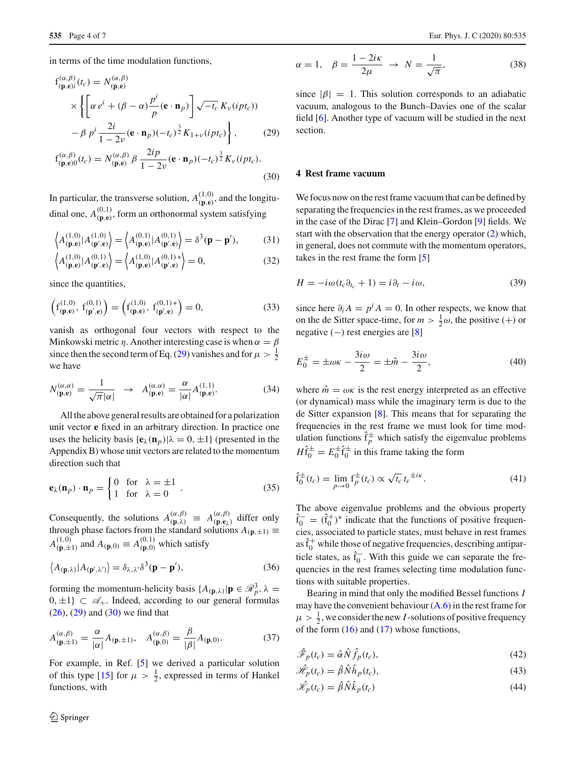in terms of the time modulation functions,

<span id="page-3-0"></span>
$$
f_{(\mathbf{p},\mathbf{e})i}^{(\alpha,\beta)}(t_c) = N_{(\mathbf{p},\mathbf{e})}^{(\alpha,\beta)}
$$
  
 
$$
\times \left\{ \left[ \alpha e^i + (\beta - \alpha) \frac{p^i}{p} (\mathbf{e} \cdot \mathbf{n}_p) \right] \sqrt{-t_c} K_v(ipt_c) \right\}
$$
  
 
$$
- \beta p^i \frac{2i}{1 - 2v} (\mathbf{e} \cdot \mathbf{n}_p) (-t_c)^{\frac{3}{2}} K_{1+v}(ipt_c) \right\},
$$
 (29)  

$$
f^{(\alpha,\beta)}(t_c) = N^{(\alpha,\beta)} \beta \frac{2ip}{(1 - 2v)} (\mathbf{e} \cdot \mathbf{n}_p) (-t_c)^{\frac{3}{2}} K_v(int_c)
$$

$$
f_{(\mathbf{p},\mathbf{e})0}^{(\alpha,\beta)}(t_c) = N_{(\mathbf{p},\mathbf{e})}^{(\alpha,\beta)} \beta \frac{2t}{1-2\nu} (\mathbf{e} \cdot \mathbf{n}_p)(-t_c)^{\frac{3}{2}} K_{\nu}(ipt_c).
$$
\n(30)

In particular, the transverse solution,  $A_{(p,e)}^{(1,0)}$ , and the longitudinal one,  $A_{(\mathbf{p},\mathbf{e})}^{(0,1)}$ , form an orthonormal system satisfying

$$
\left\langle A^{(1,0)}_{(\mathbf{p},\mathbf{e})} | A^{(1,0)}_{(\mathbf{p}',\mathbf{e})} \right\rangle = \left\langle A^{(0,1)}_{(\mathbf{p},\mathbf{e})} | A^{(0,1)}_{(\mathbf{p}',\mathbf{e})} \right\rangle = \delta^3(\mathbf{p} - \mathbf{p}'),\tag{31}
$$

$$
\left\langle A^{(1,0)}_{(\mathbf{p},\mathbf{e})} | A^{(0,1)}_{(\mathbf{p}',\mathbf{e})} \right\rangle = \left\langle A^{(1,0)}_{(\mathbf{p},\mathbf{e})} | A^{(0,1)*}_{(\mathbf{p}',\mathbf{e})} \right\rangle = 0, \tag{32}
$$

since the quantities,

$$
\left(f_{(\mathbf{p},\mathbf{e})}^{(1,0)},\ f_{(\mathbf{p}',\mathbf{e})}^{(0,1)}\right) = \left(f_{(\mathbf{p},\mathbf{e})}^{(1,0)},\ f_{(\mathbf{p}',\mathbf{e})}^{(0,1)*}\right) = 0,\tag{33}
$$

vanish as orthogonal four vectors with respect to the Minkowski metric  $\eta$ . Another interesting case is when  $\alpha = \beta$ since then the second term of Eq. [\(29\)](#page-3-0) vanishes and for  $\mu > \frac{1}{2}$ we have

$$
N_{(\mathbf{p},\mathbf{e})}^{(\alpha,\alpha)} = \frac{1}{\sqrt{\pi}|\alpha|} \rightarrow A_{(\mathbf{p},\mathbf{e})}^{(\alpha,\alpha)} = \frac{\alpha}{|\alpha|} A_{(\mathbf{p},\mathbf{e})}^{(1,1)}.
$$
 (34)

All the above general results are obtained for a polarization unit vector **e** fixed in an arbitrary direction. In practice one uses the helicity basis  $\{e_{\lambda}(\mathbf{n}_p)|\lambda = 0, \pm 1\}$  (presented in the Appendix B) whose unit vectors are related to the momentum direction such that

$$
\mathbf{e}_{\lambda}(\mathbf{n}_p) \cdot \mathbf{n}_p = \begin{cases} 0 & \text{for } \lambda = \pm 1 \\ 1 & \text{for } \lambda = 0 \end{cases} . \tag{35}
$$

Consequently, the solutions  $A_{(\mathbf{p},\lambda)}^{(\alpha,\beta)} \equiv A_{(\mathbf{p},\mathbf{e}_\lambda)}^{(\alpha,\beta)}$  differ only through phase factors from the standard solutions  $A_{(\mathbf{p},\pm 1)} \equiv$  $A_{(\mathbf{p},\pm1)}^{(1,0)}$  and  $A_{(\mathbf{p},0)} \equiv A_{(\mathbf{p},0)}^{(0,1)}$  which satisfy

$$
\langle A(\mathbf{p},\lambda)|A(\mathbf{p}',\lambda')\rangle = \delta_{\lambda,\lambda'}\delta^3(\mathbf{p}-\mathbf{p}'),\tag{36}
$$

forming the momentum-helicity basis  $\{A_{(\mathbf{p},\lambda)}|\mathbf{p}\in\mathcal{R}_p^3, \lambda =$  $0, \pm 1$ }  $\subset \mathcal{A}_+$ . Indeed, according to our general formulas  $(26)$ ,  $(29)$  and  $(30)$  we find that

$$
A_{(\mathbf{p},\pm 1)}^{(\alpha,\beta)} = \frac{\alpha}{|\alpha|} A_{(\mathbf{p},\pm 1)}, \quad A_{(\mathbf{p},0)}^{(\alpha,\beta)} = \frac{\beta}{|\beta|} A_{(\mathbf{p},0)}.
$$
 (37)

For example, in Ref. [\[5\]](#page-6-4) we derived a particular solution of this type [\[15\]](#page-6-14) for  $\mu > \frac{1}{2}$ , expressed in terms of Hankel functions, with

$$
\underline{\textcircled{\tiny 2}}
$$
 Springer

$$
\alpha = 1, \quad \beta = \frac{1 - 2i\kappa}{2\mu} \rightarrow N = \frac{1}{\sqrt{\pi}}, \tag{38}
$$

since  $|\beta| = 1$ . This solution corresponds to an adiabatic vacuum, analogous to the Bunch–Davies one of the scalar field [\[6\]](#page-6-5). Another type of vacuum will be studied in the next section.

# **4 Rest frame vacuum**

We focus now on the rest frame vacuum that can be defined by separating the frequencies in the rest frames, as we proceeded in the case of the Dirac [\[7](#page-6-6)] and Klein–Gordon [\[9](#page-6-8)] fields. We start with the observation that the energy operator [\(2\)](#page-1-5) which, in general, does not commute with the momentum operators, takes in the rest frame the form [\[5](#page-6-4)]

$$
H = -i\omega(t_c \partial_{t_c} + 1) = i\partial_t - i\omega,
$$
\n(39)

since here  $\partial_i A = p^i A = 0$ . In other respects, we know that on the de Sitter space-time, for  $m > \frac{1}{2}\omega$ , the positive (+) or negative (−) rest energies are [\[8](#page-6-7)]

$$
E_0^{\pm} = \pm \omega \kappa - \frac{3i\omega}{2} = \pm \hat{m} - \frac{3i\omega}{2},\tag{40}
$$

where  $\hat{m} = \omega \kappa$  is the rest energy interpreted as an effective (or dynamical) mass while the imaginary term is due to the de Sitter expansion [\[8\]](#page-6-7). This means that for separating the frequencies in the rest frame we must look for time modulation functions  $f_p^{\pm}$  which satisfy the eigenvalue problems  $H\hat{\mathbf{f}}_0^{\pm} = E_0^{\pm} \hat{\mathbf{f}}_0^{\pm}$  in this frame taking the form

<span id="page-3-1"></span>
$$
\hat{\mathbf{f}}_0^{\pm}(t_c) = \lim_{p \to 0} \mathbf{f}_p^{\pm}(t_c) \propto \sqrt{t_c} t_c^{\pm i\kappa}.
$$
\n(41)

The above eigenvalue problems and the obvious property  $\hat{f}_0^- = (\hat{f}_0^+)^*$  indicate that the functions of positive frequencies, associated to particle states, must behave in rest frames as  $\hat{f}_0^+$  while those of negative frequencies, describing antiparticle states, as  $\hat{f}_0^-$ . With this guide we can separate the frequencies in the rest frames selecting time modulation functions with suitable properties.

Bearing in mind that only the modified Bessel functions *I* may have the convenient behaviour  $(A.6)$  in the rest frame for  $\mu > \frac{1}{2}$ , we consider the new *I*-solutions of positive frequency of the form  $(16)$  and  $(17)$  whose functions,

$$
\hat{\mathscr{F}}_p(t_c) = \hat{\alpha}\hat{N}\hat{f}_p(t_c),\tag{42}
$$

$$
\hat{\mathcal{H}}_p(t_c) = \hat{\beta} \hat{N} \hat{h}_p(t_c),\tag{43}
$$

$$
\hat{\mathcal{K}}_p(t_c) = \hat{\beta} \hat{N} \hat{k}_p(t_c) \tag{44}
$$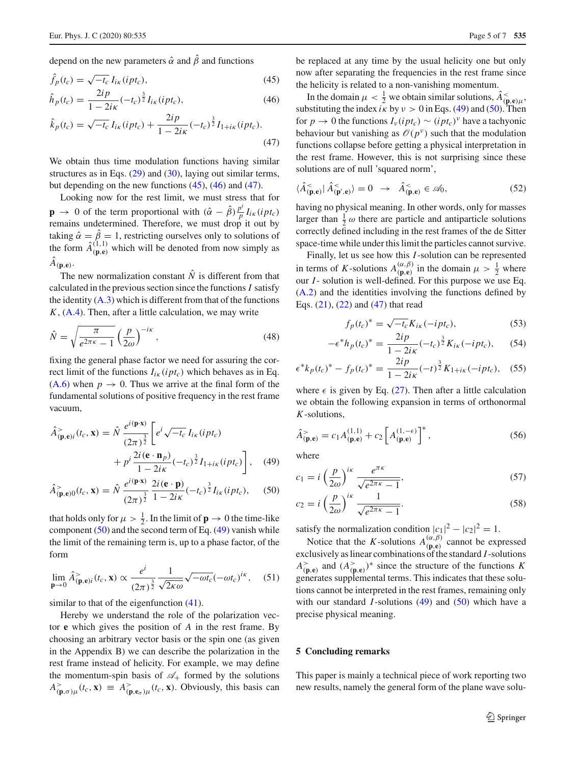depend on the new parameters  $\hat{\alpha}$  and  $\hat{\beta}$  and functions

<span id="page-4-0"></span>
$$
\hat{f}_p(t_c) = \sqrt{-t_c} I_{ik}(ipt_c),\tag{45}
$$

$$
\hat{h}_p(t_c) = \frac{2ip}{1 - 2i\kappa} (-t_c)^{\frac{3}{2}} I_{i\kappa}(ipt_c),
$$
\n(46)

$$
\hat{k}_p(t_c) = \sqrt{-t_c} I_{ik}(ipt_c) + \frac{2ip}{1 - 2ik} (-t_c)^{\frac{3}{2}} I_{1+ik}(ipt_c).
$$
\n(47)

We obtain thus time modulation functions having similar structures as in Eqs.  $(29)$  and  $(30)$ , laying out similar terms, but depending on the new functions  $(45)$ ,  $(46)$  and  $(47)$ .

Looking now for the rest limit, we must stress that for **p**  $\rightarrow$  0 of the term proportional with  $(\hat{\alpha} - \hat{\beta}) \frac{p^i}{p} I_{ik} (ipt_c)$ remains undetermined. Therefore, we must drop it out by taking  $\hat{\alpha} = \beta = 1$ , restricting ourselves only to solutions of the form  $\hat{A}^{(1,1)}_{(\mathbf{p},\mathbf{e})}$  which will be denoted from now simply as  $\ddot{A}$ <sub>(p,e)</sub>.

The new normalization constant  $\hat{N}$  is different from that calculated in the previous section since the functions *I* satisfy the identity  $(A.3)$  which is different from that of the functions *K*, [\(A.4\)](#page-5-0). Then, after a little calculation, we may write

$$
\hat{N} = \sqrt{\frac{\pi}{e^{2\pi\kappa} - 1}} \left(\frac{p}{2\omega}\right)^{-i\kappa},\tag{48}
$$

fixing the general phase factor we need for assuring the correct limit of the functions  $I_{ik}(ipt_{c})$  which behaves as in Eq.  $(A.6)$  when  $p \rightarrow 0$ . Thus we arrive at the final form of the fundamental solutions of positive frequency in the rest frame vacuum,

<span id="page-4-1"></span>
$$
\hat{A}_{(\mathbf{p},\mathbf{e})i}^{>} (t_c, \mathbf{x}) = \hat{N} \frac{e^{i(\mathbf{p}\cdot\mathbf{x})}}{(2\pi)^{\frac{3}{2}}} \left[ e^i \sqrt{-t_c} \, I_{ik} (ipt_c) \right. \left. + p^i \frac{2i(\mathbf{e}\cdot\mathbf{n}_p)}{1 - 2i\kappa} (-t_c)^{\frac{3}{2}} I_{1+ik} (ipt_c) \right], \quad (49)
$$

$$
\hat{A}_{(\mathbf{p},\mathbf{e})0}^{>}(t_c,\mathbf{x})=\hat{N}\frac{e^{i(\mathbf{p}\cdot\mathbf{x})}}{(2\pi)^{\frac{3}{2}}}\frac{2i(\mathbf{e}\cdot\mathbf{p})}{1-2i\kappa}(-t_c)^{\frac{3}{2}}I_{i\kappa}(ipt_c),\quad(50)
$$

that holds only for  $\mu > \frac{1}{2}$ . In the limit of  $\mathbf{p} \to 0$  the time-like component  $(50)$  and the second term of Eq.  $(49)$  vanish while the limit of the remaining term is, up to a phase factor, of the form

$$
\lim_{\mathbf{p}\to 0} \hat{A}_{(\mathbf{p},\mathbf{e})i}^{\geq}(t_c,\mathbf{x}) \propto \frac{e^i}{(2\pi)^{\frac{3}{2}}} \frac{1}{\sqrt{2\kappa\omega}} \sqrt{-\omega t_c} (-\omega t_c)^{i\kappa}, \quad (51)
$$

similar to that of the eigenfunction  $(41)$ .

Hereby we understand the role of the polarization vector **e** which gives the position of *A* in the rest frame. By choosing an arbitrary vector basis or the spin one (as given in the Appendix B) we can describe the polarization in the rest frame instead of helicity. For example, we may define the momentum-spin basis of  $\mathcal{A}_+$  formed by the solutions  $A^>_{(\mathbf{p},\sigma)\mu}(t_c, \mathbf{x}) \equiv A^>_{(\mathbf{p},\mathbf{e}_\sigma)\mu}(t_c, \mathbf{x})$ . Obviously, this basis can

be replaced at any time by the usual helicity one but only now after separating the frequencies in the rest frame since the helicity is related to a non-vanishing momentum.

In the domain  $\mu < \frac{1}{2}$  we obtain similar solutions,  $\hat{A}_{(\mathbf{p},\mathbf{e})\mu}^{\lt}$ , substituting the index  $i\kappa$  by  $v > 0$  in Eqs. [\(49\)](#page-4-1) and [\(50\)](#page-4-1). Then for *p*  $\rightarrow$  0 the functions *I<sub>v</sub>*(*ipt<sub>c</sub>*)  $\sim$  (*ipt<sub>c</sub>*)<sup>*v*</sup> have a tachyonic behaviour but vanishing as  $\mathcal{O}(p^{\nu})$  such that the modulation functions collapse before getting a physical interpretation in the rest frame. However, this is not surprising since these solutions are of null 'squared norm',

$$
\langle \hat{A}_{(\mathbf{p},\mathbf{e})}^{\lt}\, | \, \hat{A}_{(\mathbf{p}',\mathbf{e})}^{\lt}\rangle = 0 \ \to \ \hat{A}_{(\mathbf{p},\mathbf{e})}^{\lt}\in\mathscr{A}_0,\tag{52}
$$

having no physical meaning. In other words, only for masses larger than  $\frac{1}{2} \omega$  there are particle and antiparticle solutions correctly defined including in the rest frames of the de Sitter space-time while under this limit the particles cannot survive.

Finally, let us see how this *I*-solution can be represented in terms of *K*-solutions  $A_{(\mathbf{p},\mathbf{e})}^{(\alpha,\beta)}$  in the domain  $\mu > \frac{1}{2}$  where our *I*- solution is well-defined. For this purpose we use Eq. [\(A.2\)](#page-5-3) and the identities involving the functions defined by Eqs. [\(21\)](#page-2-8), [\(22\)](#page-2-8) and [\(47\)](#page-4-0) that read

$$
f_p(t_c)^* = \sqrt{-t_c} K_{ik}(-ipt_c), \qquad (53)
$$

$$
-\epsilon^* h_p(t_c)^* = \frac{2ip}{1-2i\kappa} (-t_c)^{\frac{3}{2}} K_{ik}(-ipt_c), \quad (54)
$$

$$
\epsilon^* k_p(t_c)^* - f_p(t_c)^* = \frac{2ip}{1 - 2ik} (-t)^{\frac{3}{2}} K_{1 + ik}(-ipt_c), \quad (55)
$$

where  $\epsilon$  is given by Eq. [\(27\)](#page-2-9). Then after a little calculation we obtain the following expansion in terms of orthonormal *K*-solutions,

$$
\hat{A}_{(\mathbf{p},\mathbf{e})}^{\geq} = c_1 A_{(\mathbf{p},\mathbf{e})}^{(1,1)} + c_2 \left[ A_{(\mathbf{p},\mathbf{e})}^{(1,-\epsilon)} \right]^*,\tag{56}
$$

where

$$
c_1 = i \left(\frac{p}{2\omega}\right)^{i\kappa} \frac{e^{\pi\kappa}}{\sqrt{e^{2\pi\kappa} - 1}},\tag{57}
$$

$$
c_2 = i \left(\frac{p}{2\omega}\right)^{i\kappa} \frac{1}{\sqrt{e^{2\pi\kappa} - 1}}.
$$
\n<sup>(58)</sup>

satisfy the normalization condition  $|c_1|^2 - |c_2|^2 = 1$ .

Notice that the *K*-solutions  $A_{(p,e)}^{(\alpha,\beta)}$  cannot be expressed exclusively as linear combinations of the standard *I*-solutions  $A_{(\mathbf{p},\mathbf{e})}^>$  and  $(A_{(\mathbf{p},\mathbf{e})}^*)^*$  since the structure of the functions *K* generates supplemental terms. This indicates that these solutions cannot be interpreted in the rest frames, remaining only with our standard *I*-solutions [\(49\)](#page-4-1) and [\(50\)](#page-4-1) which have a precise physical meaning.

# **5 Concluding remarks**

This paper is mainly a technical piece of work reporting two new results, namely the general form of the plane wave solu-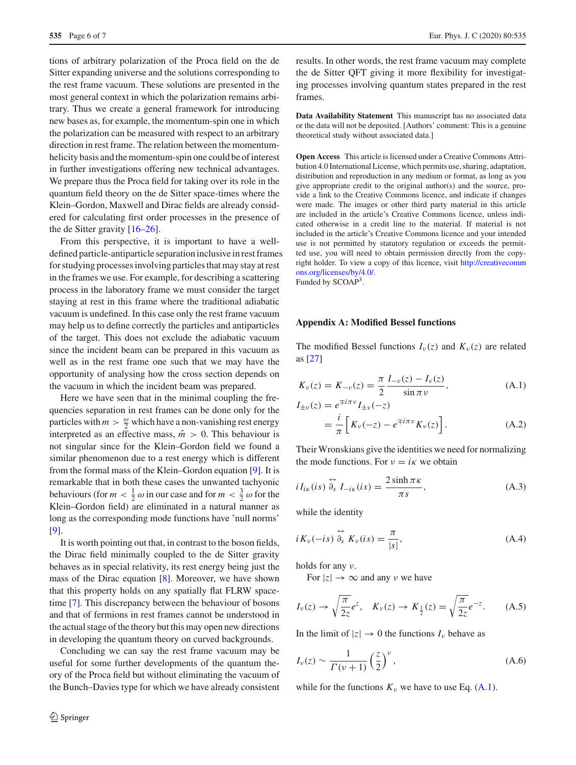tions of arbitrary polarization of the Proca field on the de Sitter expanding universe and the solutions corresponding to the rest frame vacuum. These solutions are presented in the most general context in which the polarization remains arbitrary. Thus we create a general framework for introducing new bases as, for example, the momentum-spin one in which the polarization can be measured with respect to an arbitrary direction in rest frame. The relation between the momentumhelicity basis and the momentum-spin one could be of interest in further investigations offering new technical advantages. We prepare thus the Proca field for taking over its role in the quantum field theory on the de Sitter space-times where the Klein–Gordon, Maxwell and Dirac fields are already considered for calculating first order processes in the presence of the de Sitter gravity [\[16](#page-6-15)[–26](#page-6-16)].

From this perspective, it is important to have a welldefined particle-antiparticle separation inclusive in rest frames for studying processes involving particles that may stay at rest in the frames we use. For example, for describing a scattering process in the laboratory frame we must consider the target staying at rest in this frame where the traditional adiabatic vacuum is undefined. In this case only the rest frame vacuum may help us to define correctly the particles and antiparticles of the target. This does not exclude the adiabatic vacuum since the incident beam can be prepared in this vacuum as well as in the rest frame one such that we may have the opportunity of analysing how the cross section depends on the vacuum in which the incident beam was prepared.

Here we have seen that in the minimal coupling the frequencies separation in rest frames can be done only for the particles with  $m > \frac{\omega}{2}$  which have a non-vanishing rest energy interpreted as an effective mass,  $\hat{m} > 0$ . This behaviour is not singular since for the Klein–Gordon field we found a similar phenomenon due to a rest energy which is different from the formal mass of the Klein–Gordon equation [\[9](#page-6-8)]. It is remarkable that in both these cases the unwanted tachyonic behaviours (for  $m < \frac{1}{2} \omega$  in our case and for  $m < \frac{3}{2} \omega$  for the Klein–Gordon field) are eliminated in a natural manner as long as the corresponding mode functions have 'null norms' [\[9](#page-6-8)].

It is worth pointing out that, in contrast to the boson fields, the Dirac field minimally coupled to the de Sitter gravity behaves as in special relativity, its rest energy being just the mass of the Dirac equation [\[8\]](#page-6-7). Moreover, we have shown that this property holds on any spatially flat FLRW spacetime [\[7\]](#page-6-6). This discrepancy between the behaviour of bosons and that of fermions in rest frames cannot be understood in the actual stage of the theory but this may open new directions in developing the quantum theory on curved backgrounds.

Concluding we can say the rest frame vacuum may be useful for some further developments of the quantum theory of the Proca field but without eliminating the vacuum of the Bunch–Davies type for which we have already consistent results. In other words, the rest frame vacuum may complete the de Sitter QFT giving it more flexibility for investigating processes involving quantum states prepared in the rest frames.

**Data Availability Statement** This manuscript has no associated data or the data will not be deposited. [Authors' comment: This is a genuine theoretical study without associated data.]

**Open Access** This article is licensed under a Creative Commons Attribution 4.0 International License, which permits use, sharing, adaptation, distribution and reproduction in any medium or format, as long as you give appropriate credit to the original author(s) and the source, provide a link to the Creative Commons licence, and indicate if changes were made. The images or other third party material in this article are included in the article's Creative Commons licence, unless indicated otherwise in a credit line to the material. If material is not included in the article's Creative Commons licence and your intended use is not permitted by statutory regulation or exceeds the permitted use, you will need to obtain permission directly from the copyright holder. To view a copy of this licence, visit [http://creativecomm](http://creativecommons.org/licenses/by/4.0/) [ons.org/licenses/by/4.0/.](http://creativecommons.org/licenses/by/4.0/) Funded by SCOAP<sup>3</sup>.

### **Appendix A: Modified Bessel functions**

The modified Bessel functions  $I_{\nu}(z)$  and  $K_{\nu}(z)$  are related as [\[27](#page-6-17)]

<span id="page-5-3"></span>
$$
K_{\nu}(z) = K_{-\nu}(z) = \frac{\pi}{2} \frac{I_{-\nu}(z) - I_{\nu}(z)}{\sin \pi \nu},
$$
 (A.1)

$$
I_{\pm\nu}(z) = e^{\mp i\pi\nu} I_{\pm\nu}(-z)
$$
  
= 
$$
\frac{i}{\pi} \left[ K_{\nu}(-z) - e^{\mp i\pi\nu} K_{\nu}(z) \right].
$$
 (A.2)

Their Wronskians give the identities we need for normalizing the mode functions. For  $v = i\kappa$  we obtain

<span id="page-5-2"></span>
$$
iI_{ik}(is) \stackrel{\leftrightarrow}{\partial_s} I_{-ik}(is) = \frac{2 \sinh \pi \kappa}{\pi s},
$$
 (A.3)

while the identity

<span id="page-5-0"></span>
$$
i K_{\nu}(-is) \stackrel{\leftrightarrow}{\partial_{s}} K_{\nu}(is) = \frac{\pi}{|s|}, \tag{A.4}
$$

holds for any ν.

For  $|z| \to \infty$  and any  $\nu$  we have

$$
I_{\nu}(z) \to \sqrt{\frac{\pi}{2z}} e^{z}, \quad K_{\nu}(z) \to K_{\frac{1}{2}}(z) = \sqrt{\frac{\pi}{2z}} e^{-z}.
$$
 (A.5)

In the limit of  $|z| \to 0$  the functions  $I_\nu$  behave as

<span id="page-5-1"></span>
$$
I_{\nu}(z) \sim \frac{1}{\Gamma(\nu+1)} \left(\frac{z}{2}\right)^{\nu},\tag{A.6}
$$

while for the functions  $K_v$  we have to use Eq. [\(A.1\)](#page-5-3).